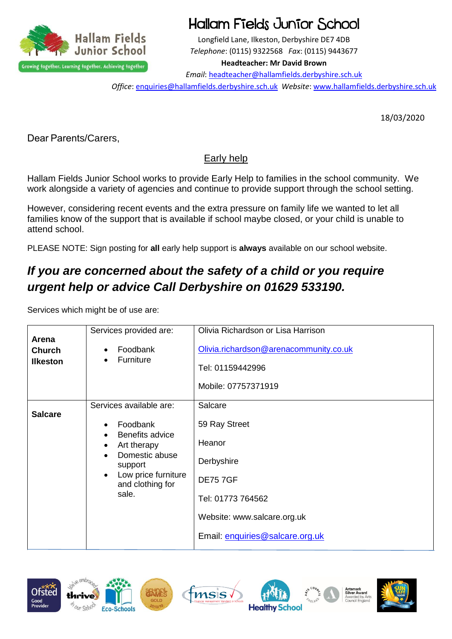

# Hallam Fields Junior School

Longfield Lane, Ilkeston, Derbyshire DE7 4DB *Telephone*: (0115) 9322568 *Fax*: (0115) 9443677

#### **Headteacher: Mr David Brown**

*Email*: [headteacher@hallamfields.derbyshire.sch.uk](mailto:headteacher@hallamfields.derbyshire.sch.uk)

*Office*: [enquiries@hallamfields.derbyshire.sch.uk](mailto:enquiries@hallamfields.derbyshire.sch.uk) *Website*[: www.hallamfields.derbyshire.sch.uk](http://www.hallamfields.derbyshire.sch.uk/)

18/03/2020

Dear Parents/Carers,

### Early help

Hallam Fields Junior School works to provide Early Help to families in the school community. We work alongside a variety of agencies and continue to provide support through the school setting.

However, considering recent events and the extra pressure on family life we wanted to let all families know of the support that is available if school maybe closed, or your child is unable to attend school.

PLEASE NOTE: Sign posting for **all** early help support is **always** available on our school website.

## *If you are concerned about the safety of a child or you require urgent help or advice Call Derbyshire on 01629 533190.*

Services which might be of use are:

| Arena           | Services provided are:                               | Olivia Richardson or Lisa Harrison     |
|-----------------|------------------------------------------------------|----------------------------------------|
| <b>Church</b>   | Foodbank<br>$\bullet$                                | Olivia.richardson@arenacommunity.co.uk |
| <b>Ilkeston</b> | Furniture                                            | Tel: 01159442996                       |
|                 |                                                      | Mobile: 07757371919                    |
|                 | Services available are:                              | Salcare                                |
| <b>Salcare</b>  | Foodbank<br>$\bullet$<br>Benefits advice             | 59 Ray Street                          |
|                 | Art therapy<br>٠                                     | Heanor                                 |
|                 | Domestic abuse<br>support                            | Derbyshire                             |
|                 | Low price furniture<br>$\bullet$<br>and clothing for | <b>DE757GF</b>                         |
|                 | sale.                                                | Tel: 01773 764562                      |
|                 |                                                      | Website: www.salcare.org.uk            |
|                 |                                                      | Email: enquiries@salcare.org.uk        |